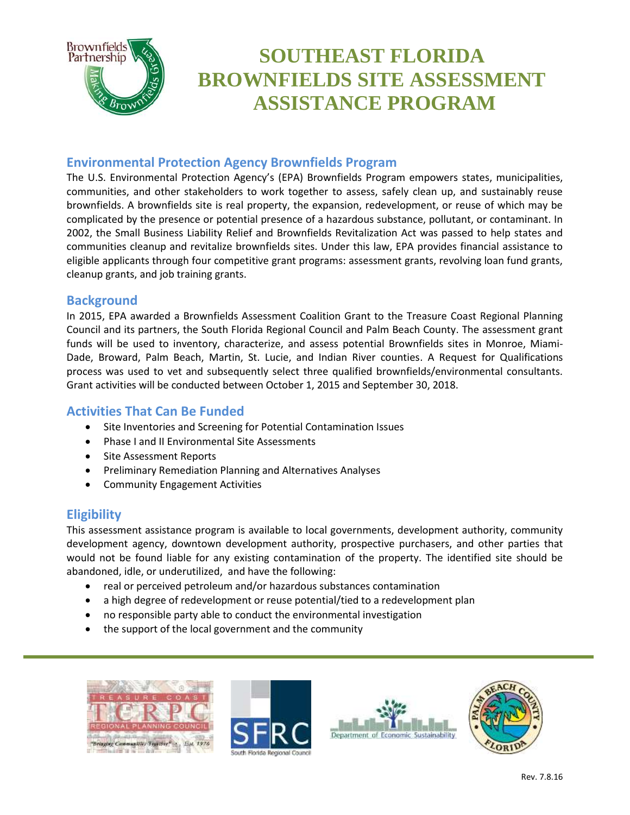

### **Environmental Protection Agency Brownfields Program**

The U.S. Environmental Protection Agency's (EPA) Brownfields Program empowers states, municipalities, communities, and other stakeholders to work together to assess, safely clean up, and sustainably reuse brownfields. A brownfields site is real property, the expansion, redevelopment, or reuse of which may be complicated by the presence or potential presence of a hazardous substance, pollutant, or contaminant. In 2002, the Small Business Liability Relief and Brownfields Revitalization Act was passed to help states and communities cleanup and revitalize brownfields sites. Under this law, EPA provides financial assistance to eligible applicants through four competitive grant programs: assessment grants, revolving loan fund grants, cleanup grants, and job training grants.

### **Background**

In 2015, EPA awarded a Brownfields Assessment Coalition Grant to the Treasure Coast Regional Planning Council and its partners, the South Florida Regional Council and Palm Beach County. The assessment grant funds will be used to inventory, characterize, and assess potential Brownfields sites in Monroe, Miami-Dade, Broward, Palm Beach, Martin, St. Lucie, and Indian River counties. A Request for Qualifications process was used to vet and subsequently select three qualified brownfields/environmental consultants. Grant activities will be conducted between October 1, 2015 and September 30, 2018.

## **Activities That Can Be Funded**

- Site Inventories and Screening for Potential Contamination Issues
- Phase I and II Environmental Site Assessments
- Site Assessment Reports
- Preliminary Remediation Planning and Alternatives Analyses
- Community Engagement Activities

# **Eligibility**

This assessment assistance program is available to local governments, development authority, community development agency, downtown development authority, prospective purchasers, and other parties that would not be found liable for any existing contamination of the property. The identified site should be abandoned, idle, or underutilized, and have the following:

- real or perceived petroleum and/or hazardous substances contamination
- a high degree of redevelopment or reuse potential/tied to a redevelopment plan
- no responsible party able to conduct the environmental investigation
- the support of the local government and the community